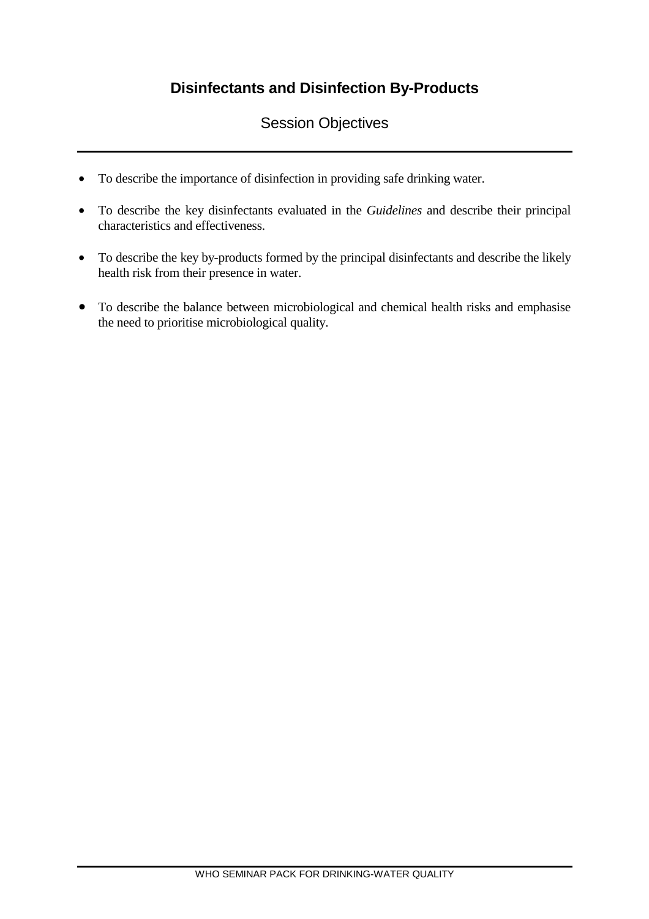## **Disinfectants and Disinfection By-Products**

## Session Objectives

- To describe the importance of disinfection in providing safe drinking water.
- To describe the key disinfectants evaluated in the *Guidelines* and describe their principal characteristics and effectiveness.
- To describe the key by-products formed by the principal disinfectants and describe the likely health risk from their presence in water.
- To describe the balance between microbiological and chemical health risks and emphasise the need to prioritise microbiological quality.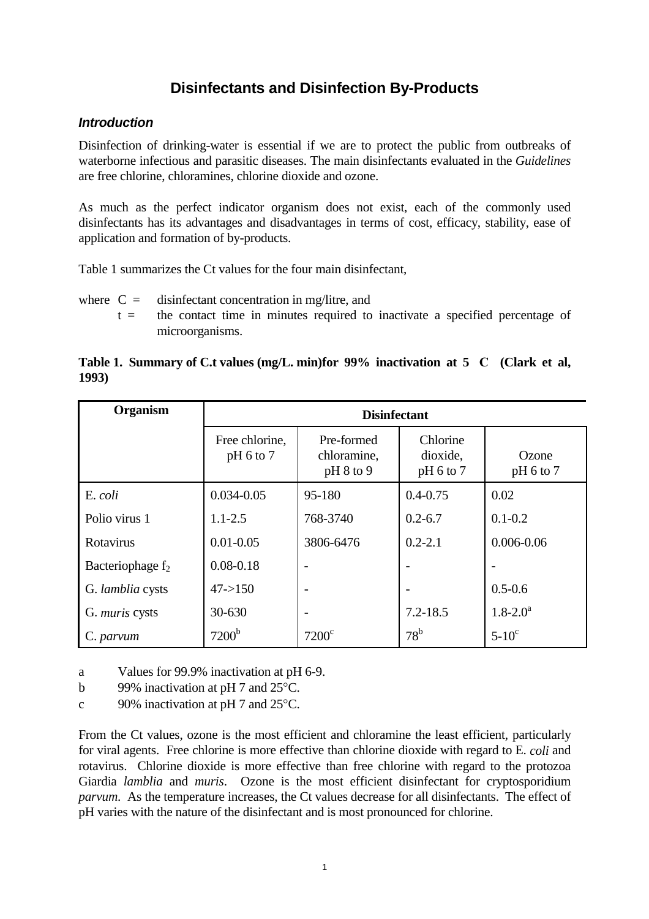## **Disinfectants and Disinfection By-Products**

### **Introduction**

Disinfection of drinking-water is essential if we are to protect the public from outbreaks of waterborne infectious and parasitic diseases. The main disinfectants evaluated in the *Guidelines*  are free chlorine, chloramines, chlorine dioxide and ozone.

As much as the perfect indicator organism does not exist, each of the commonly used disinfectants has its advantages and disadvantages in terms of cost, efficacy, stability, ease of application and formation of by-products.

Table 1 summarizes the Ct values for the four main disinfectant,

where  $C =$  disinfectant concentration in mg/litre, and

 $t =$  the contact time in minutes required to inactivate a specified percentage of microorganisms.

### **Table 1. Summary of C.t values (mg/L. min)for 99% inactivation at 5C (Clark et al, 1993)**

| <b>Organism</b>              | <b>Disinfectant</b>         |                                          |                                     |                      |
|------------------------------|-----------------------------|------------------------------------------|-------------------------------------|----------------------|
|                              | Free chlorine,<br>pH 6 to 7 | Pre-formed<br>chloramine,<br>$pH 8$ to 9 | Chlorine<br>dioxide,<br>$pH 6$ to 7 | Ozone<br>$pH 6$ to 7 |
| E. coli                      | $0.034 - 0.05$              | 95-180                                   | $0.4 - 0.75$                        | 0.02                 |
| Polio virus 1                | $1.1 - 2.5$                 | 768-3740                                 | $0.2 - 6.7$                         | $0.1 - 0.2$          |
| Rotavirus                    | $0.01 - 0.05$               | 3806-6476                                | $0.2 - 2.1$                         | $0.006 - 0.06$       |
| Bacteriophage f <sub>2</sub> | $0.08 - 0.18$               | $\overline{a}$                           |                                     |                      |
| G. lamblia cysts             | $47 - > 150$                | $\qquad \qquad$                          | $\overline{a}$                      | $0.5 - 0.6$          |
| G. <i>muris</i> cysts        | 30-630                      | $\overline{\phantom{a}}$                 | $7.2 - 18.5$                        | $1.8 - 2.0^a$        |
| C. parvum                    | 7200 <sup>b</sup>           | $7200^{\circ}$                           | $78^{\rm b}$                        | $5-10$ <sup>c</sup>  |

a Values for 99.9% inactivation at pH 6-9.

b 99% inactivation at pH 7 and 25 °C.

c 90% inactivation at pH 7 and 25°C.

From the Ct values, ozone is the most efficient and chloramine the least efficient, particularly for viral agents. Free chlorine is more effective than chlorine dioxide with regard to E. *coli* and rotavirus. Chlorine dioxide is more effective than free chlorine with regard to the protozoa Giardia *lamblia* and *muris*. Ozone is the most efficient disinfectant for cryptosporidium *parvum*. As the temperature increases, the Ct values decrease for all disinfectants. The effect of pH varies with the nature of the disinfectant and is most pronounced for chlorine.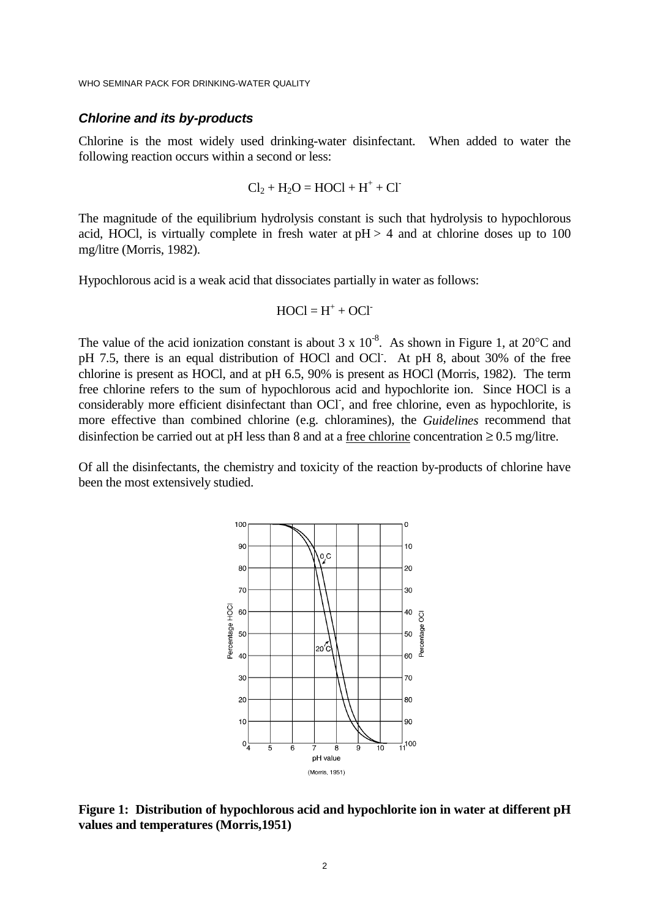#### **Chlorine and its by-products**

Chlorine is the most widely used drinking-water disinfectant. When added to water the following reaction occurs within a second or less:

$$
Cl_2 + H_2O = HOCI + H^+ + Cl^-
$$

The magnitude of the equilibrium hydrolysis constant is such that hydrolysis to hypochlorous acid, HOCl, is virtually complete in fresh water at  $pH > 4$  and at chlorine doses up to 100 mg/litre (Morris, 1982).

Hypochlorous acid is a weak acid that dissociates partially in water as follows:

$$
HOCI = H^+ + OCI^-
$$

The value of the acid ionization constant is about  $3 \times 10^{-8}$ . As shown in Figure 1, at  $20^{\circ}$ C and pH 7.5, there is an equal distribution of HOCl and OCl. At pH 8, about 30% of the free chlorine is present as HOCl, and at pH 6.5, 90% is present as HOCl (Morris, 1982). The term free chlorine refers to the sum of hypochlorous acid and hypochlorite ion. Since HOCl is a considerably more efficient disinfectant than OCI<sup>-</sup>, and free chlorine, even as hypochlorite, is more effective than combined chlorine (e.g. chloramines), the *Guidelines* recommend that disinfection be carried out at pH less than 8 and at a free chlorine concentration  $\geq 0.5$  mg/litre.

Of all the disinfectants, the chemistry and toxicity of the reaction by-products of chlorine have been the most extensively studied.



**Figure 1: Distribution of hypochlorous acid and hypochlorite ion in water at different pH values and temperatures (Morris,1951)**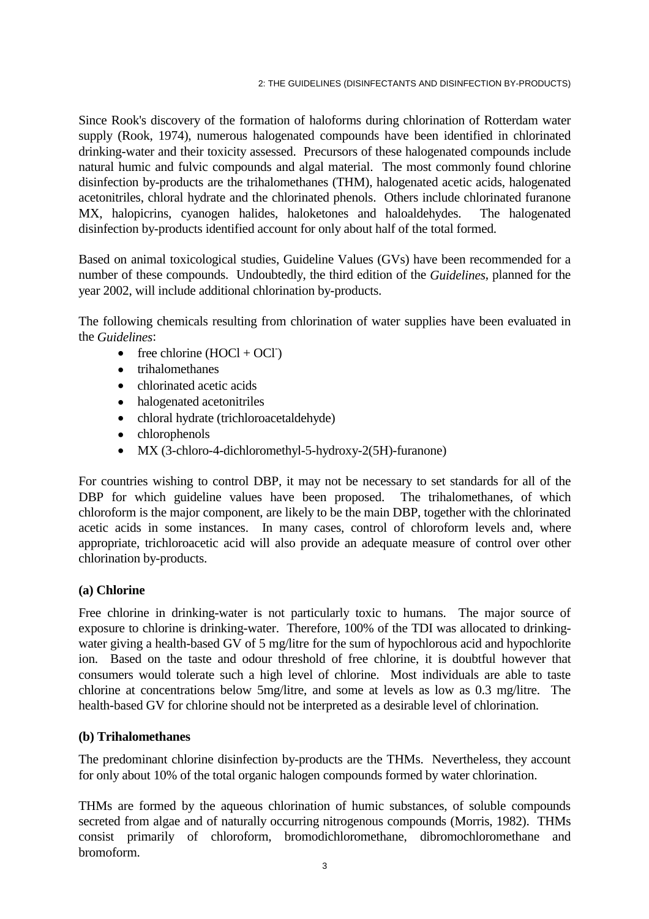Since Rook's discovery of the formation of haloforms during chlorination of Rotterdam water supply (Rook, 1974), numerous halogenated compounds have been identified in chlorinated drinking-water and their toxicity assessed. Precursors of these halogenated compounds include natural humic and fulvic compounds and algal material. The most commonly found chlorine disinfection by-products are the trihalomethanes (THM), halogenated acetic acids, halogenated acetonitriles, chloral hydrate and the chlorinated phenols. Others include chlorinated furanone MX, halopicrins, cyanogen halides, haloketones and haloaldehydes. The halogenated disinfection by-products identified account for only about half of the total formed.

Based on animal toxicological studies, Guideline Values (GVs) have been recommended for a number of these compounds. Undoubtedly, the third edition of the *Guidelines*, planned for the year 2002, will include additional chlorination by-products.

The following chemicals resulting from chlorination of water supplies have been evaluated in the *Guidelines*:

- free chlorine  $(HOCl + OCl^{-})$
- trihalomethanes
- chlorinated acetic acids
- halogenated acetonitriles
- chloral hydrate (trichloroacetaldehyde)
- chlorophenols
- MX (3-chloro-4-dichloromethyl-5-hydroxy-2(5H)-furanone)

For countries wishing to control DBP, it may not be necessary to set standards for all of the DBP for which guideline values have been proposed. The trihalomethanes, of which chloroform is the major component, are likely to be the main DBP, together with the chlorinated acetic acids in some instances. In many cases, control of chloroform levels and, where appropriate, trichloroacetic acid will also provide an adequate measure of control over other chlorination by-products.

#### **(a) Chlorine**

Free chlorine in drinking-water is not particularly toxic to humans. The major source of exposure to chlorine is drinking-water. Therefore, 100% of the TDI was allocated to drinkingwater giving a health-based GV of 5 mg/litre for the sum of hypochlorous acid and hypochlorite ion. Based on the taste and odour threshold of free chlorine, it is doubtful however that consumers would tolerate such a high level of chlorine. Most individuals are able to taste chlorine at concentrations below 5mg/litre, and some at levels as low as 0.3 mg/litre. The health-based GV for chlorine should not be interpreted as a desirable level of chlorination.

#### **(b) Trihalomethanes**

The predominant chlorine disinfection by-products are the THMs. Nevertheless, they account for only about 10% of the total organic halogen compounds formed by water chlorination.

THMs are formed by the aqueous chlorination of humic substances, of soluble compounds secreted from algae and of naturally occurring nitrogenous compounds (Morris, 1982). THMs consist primarily of chloroform, bromodichloromethane, dibromochloromethane and bromoform.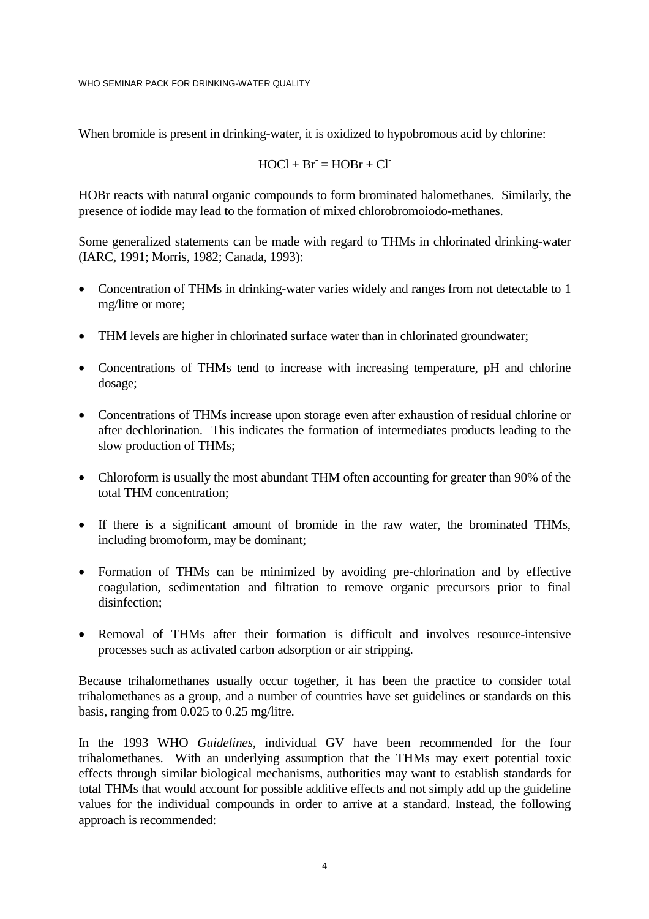When bromide is present in drinking-water, it is oxidized to hypobromous acid by chlorine:

$$
HOCI + Br = HOBr + Cl
$$

HOBr reacts with natural organic compounds to form brominated halomethanes. Similarly, the presence of iodide may lead to the formation of mixed chlorobromoiodo-methanes.

Some generalized statements can be made with regard to THMs in chlorinated drinking-water (IARC, 1991; Morris, 1982; Canada, 1993):

- Concentration of THMs in drinking-water varies widely and ranges from not detectable to 1 mg/litre or more;
- THM levels are higher in chlorinated surface water than in chlorinated groundwater;
- Concentrations of THMs tend to increase with increasing temperature, pH and chlorine dosage;
- Concentrations of THMs increase upon storage even after exhaustion of residual chlorine or after dechlorination. This indicates the formation of intermediates products leading to the slow production of THMs;
- Chloroform is usually the most abundant THM often accounting for greater than 90% of the total THM concentration;
- If there is a significant amount of bromide in the raw water, the brominated THMs, including bromoform, may be dominant;
- Formation of THMs can be minimized by avoiding pre-chlorination and by effective coagulation, sedimentation and filtration to remove organic precursors prior to final disinfection;
- Removal of THMs after their formation is difficult and involves resource-intensive processes such as activated carbon adsorption or air stripping.

Because trihalomethanes usually occur together, it has been the practice to consider total trihalomethanes as a group, and a number of countries have set guidelines or standards on this basis, ranging from 0.025 to 0.25 mg/litre.

In the 1993 WHO *Guidelines,* individual GV have been recommended for the four trihalomethanes. With an underlying assumption that the THMs may exert potential toxic effects through similar biological mechanisms, authorities may want to establish standards for total THMs that would account for possible additive effects and not simply add up the guideline values for the individual compounds in order to arrive at a standard. Instead, the following approach is recommended: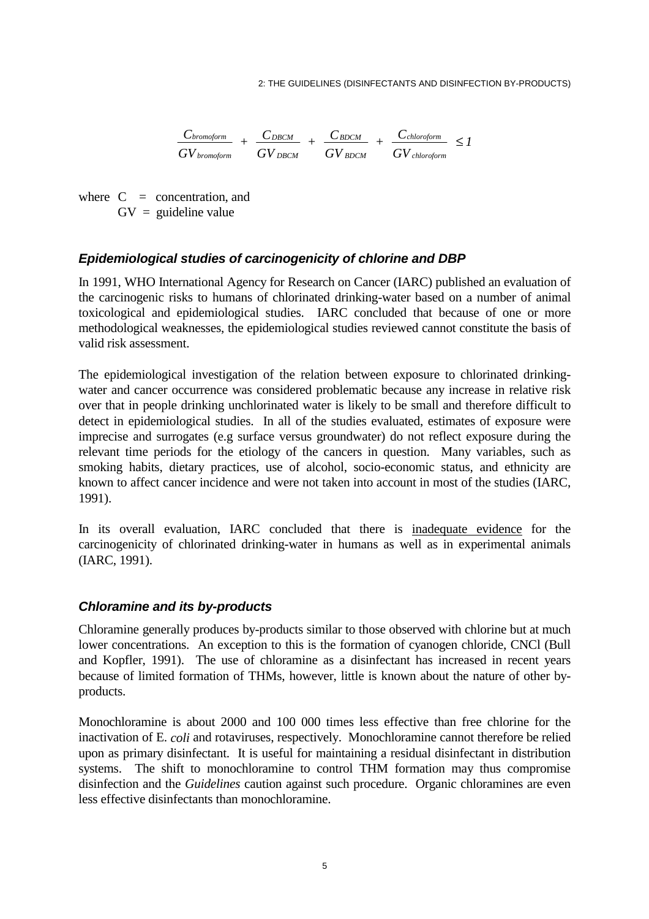$$
\frac{C_{bromoform}}{GV_{bromoform}} + \frac{C_{DBCM}}{GV_{DBCM}} + \frac{C_{BDCM}}{GV_{BDCM}} + \frac{C_{chloroform}}{GV_{chloroform}} \leq I
$$

where  $C =$  concentration, and  $GV =$  guideline value

### **Epidemiological studies of carcinogenicity of chlorine and DBP**

In 1991, WHO International Agency for Research on Cancer (IARC) published an evaluation of the carcinogenic risks to humans of chlorinated drinking-water based on a number of animal toxicological and epidemiological studies. IARC concluded that because of one or more methodological weaknesses, the epidemiological studies reviewed cannot constitute the basis of valid risk assessment.

The epidemiological investigation of the relation between exposure to chlorinated drinkingwater and cancer occurrence was considered problematic because any increase in relative risk over that in people drinking unchlorinated water is likely to be small and therefore difficult to detect in epidemiological studies. In all of the studies evaluated, estimates of exposure were imprecise and surrogates (e.g surface versus groundwater) do not reflect exposure during the relevant time periods for the etiology of the cancers in question. Many variables, such as smoking habits, dietary practices, use of alcohol, socio-economic status, and ethnicity are known to affect cancer incidence and were not taken into account in most of the studies (IARC, 1991).

In its overall evaluation, IARC concluded that there is inadequate evidence for the carcinogenicity of chlorinated drinking-water in humans as well as in experimental animals (IARC, 1991).

#### **Chloramine and its by-products**

Chloramine generally produces by-products similar to those observed with chlorine but at much lower concentrations. An exception to this is the formation of cyanogen chloride, CNCl (Bull and Kopfler, 1991). The use of chloramine as a disinfectant has increased in recent years because of limited formation of THMs, however, little is known about the nature of other byproducts.

Monochloramine is about 2000 and 100 000 times less effective than free chlorine for the inactivation of E. *coli* and rotaviruses, respectively. Monochloramine cannot therefore be relied upon as primary disinfectant. It is useful for maintaining a residual disinfectant in distribution systems. The shift to monochloramine to control THM formation may thus compromise disinfection and the *Guidelines* caution against such procedure. Organic chloramines are even less effective disinfectants than monochloramine.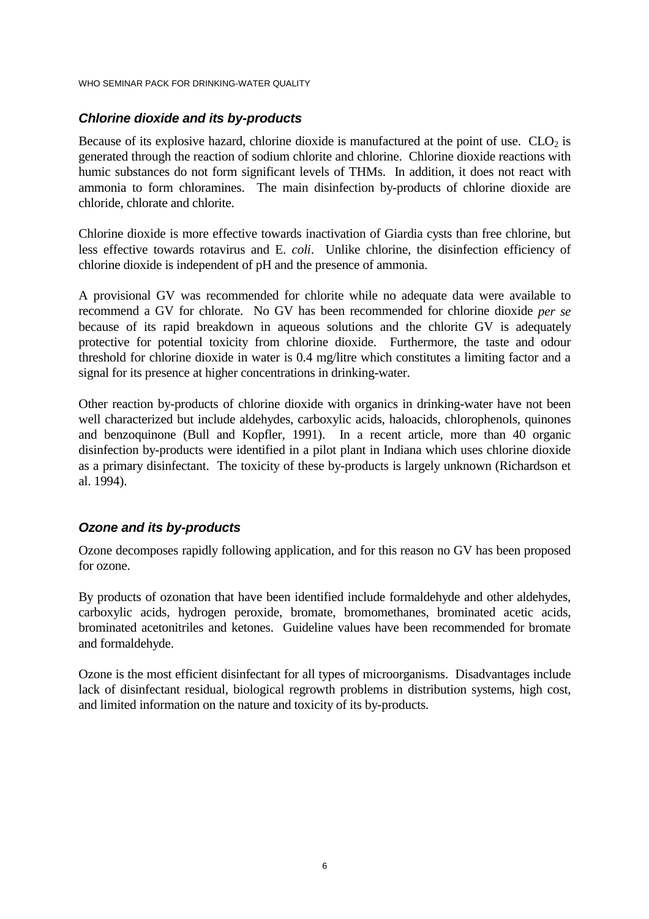### **Chlorine dioxide and its by-products**

Because of its explosive hazard, chlorine dioxide is manufactured at the point of use.  $CLO<sub>2</sub>$  is generated through the reaction of sodium chlorite and chlorine. Chlorine dioxide reactions with humic substances do not form significant levels of THMs. In addition, it does not react with ammonia to form chloramines. The main disinfection by-products of chlorine dioxide are chloride, chlorate and chlorite.

Chlorine dioxide is more effective towards inactivation of Giardia cysts than free chlorine, but less effective towards rotavirus and E. *coli*. Unlike chlorine, the disinfection efficiency of chlorine dioxide is independent of pH and the presence of ammonia.

A provisional GV was recommended for chlorite while no adequate data were available to recommend a GV for chlorate. No GV has been recommended for chlorine dioxide *per se* because of its rapid breakdown in aqueous solutions and the chlorite GV is adequately protective for potential toxicity from chlorine dioxide. Furthermore, the taste and odour threshold for chlorine dioxide in water is 0.4 mg/litre which constitutes a limiting factor and a signal for its presence at higher concentrations in drinking-water.

Other reaction by-products of chlorine dioxide with organics in drinking-water have not been well characterized but include aldehydes, carboxylic acids, haloacids, chlorophenols, quinones and benzoquinone (Bull and Kopfler, 1991). In a recent article, more than 40 organic disinfection by-products were identified in a pilot plant in Indiana which uses chlorine dioxide as a primary disinfectant. The toxicity of these by-products is largely unknown (Richardson et al. 1994).

### **Ozone and its by-products**

Ozone decomposes rapidly following application, and for this reason no GV has been proposed for ozone.

By products of ozonation that have been identified include formaldehyde and other aldehydes, carboxylic acids, hydrogen peroxide, bromate, bromomethanes, brominated acetic acids, brominated acetonitriles and ketones. Guideline values have been recommended for bromate and formaldehyde.

Ozone is the most efficient disinfectant for all types of microorganisms. Disadvantages include lack of disinfectant residual, biological regrowth problems in distribution systems, high cost, and limited information on the nature and toxicity of its by-products.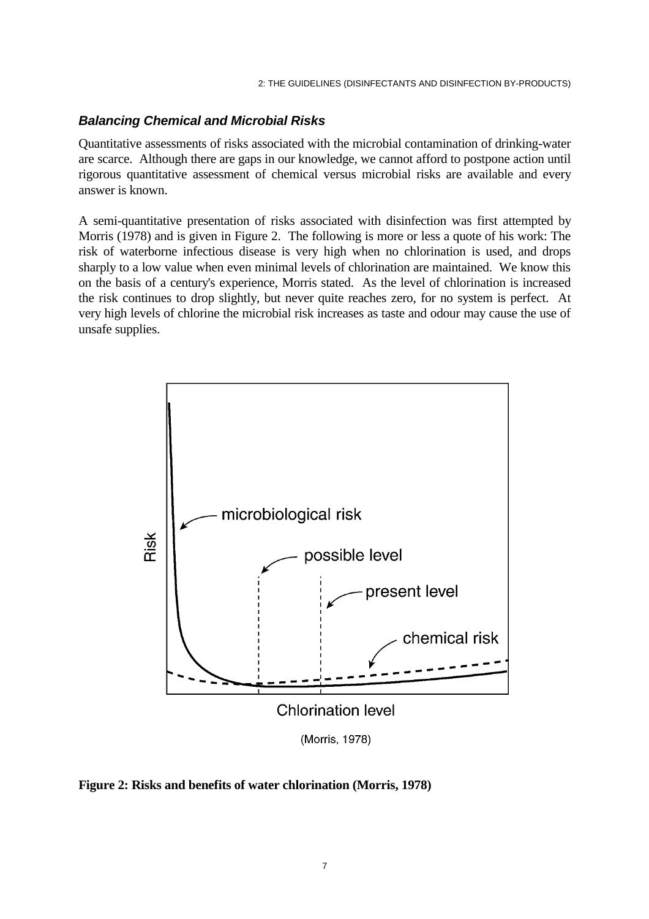### **Balancing Chemical and Microbial Risks**

Quantitative assessments of risks associated with the microbial contamination of drinking-water are scarce. Although there are gaps in our knowledge, we cannot afford to postpone action until rigorous quantitative assessment of chemical versus microbial risks are available and every answer is known.

A semi-quantitative presentation of risks associated with disinfection was first attempted by Morris (1978) and is given in Figure 2. The following is more or less a quote of his work: The risk of waterborne infectious disease is very high when no chlorination is used, and drops sharply to a low value when even minimal levels of chlorination are maintained. We know this on the basis of a century's experience, Morris stated. As the level of chlorination is increased the risk continues to drop slightly, but never quite reaches zero, for no system is perfect. At very high levels of chlorine the microbial risk increases as taste and odour may cause the use of unsafe supplies.



**Figure 2: Risks and benefits of water chlorination (Morris, 1978)**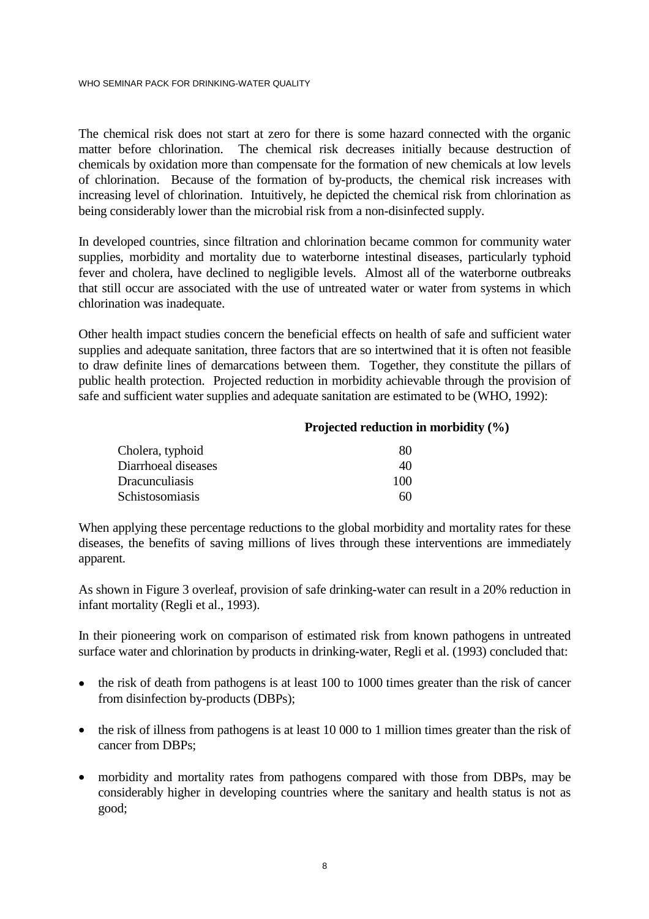The chemical risk does not start at zero for there is some hazard connected with the organic matter before chlorination. The chemical risk decreases initially because destruction of chemicals by oxidation more than compensate for the formation of new chemicals at low levels of chlorination. Because of the formation of by-products, the chemical risk increases with increasing level of chlorination. Intuitively, he depicted the chemical risk from chlorination as being considerably lower than the microbial risk from a non-disinfected supply.

In developed countries, since filtration and chlorination became common for community water supplies, morbidity and mortality due to waterborne intestinal diseases, particularly typhoid fever and cholera, have declined to negligible levels. Almost all of the waterborne outbreaks that still occur are associated with the use of untreated water or water from systems in which chlorination was inadequate.

Other health impact studies concern the beneficial effects on health of safe and sufficient water supplies and adequate sanitation, three factors that are so intertwined that it is often not feasible to draw definite lines of demarcations between them. Together, they constitute the pillars of public health protection. Projected reduction in morbidity achievable through the provision of safe and sufficient water supplies and adequate sanitation are estimated to be (WHO, 1992):

#### **Projected reduction in morbidity (%)**

| Cholera, typhoid      | 80  |
|-----------------------|-----|
| Diarrhoeal diseases   | 40  |
| <b>Dracunculiasis</b> | 100 |
| Schistosomiasis       | 60  |

When applying these percentage reductions to the global morbidity and mortality rates for these diseases, the benefits of saving millions of lives through these interventions are immediately apparent.

As shown in Figure 3 overleaf, provision of safe drinking-water can result in a 20% reduction in infant mortality (Regli et al., 1993).

In their pioneering work on comparison of estimated risk from known pathogens in untreated surface water and chlorination by products in drinking-water, Regli et al. (1993) concluded that:

- the risk of death from pathogens is at least 100 to 1000 times greater than the risk of cancer from disinfection by-products (DBPs);
- the risk of illness from pathogens is at least 10 000 to 1 million times greater than the risk of cancer from DBPs;
- morbidity and mortality rates from pathogens compared with those from DBPs, may be considerably higher in developing countries where the sanitary and health status is not as good;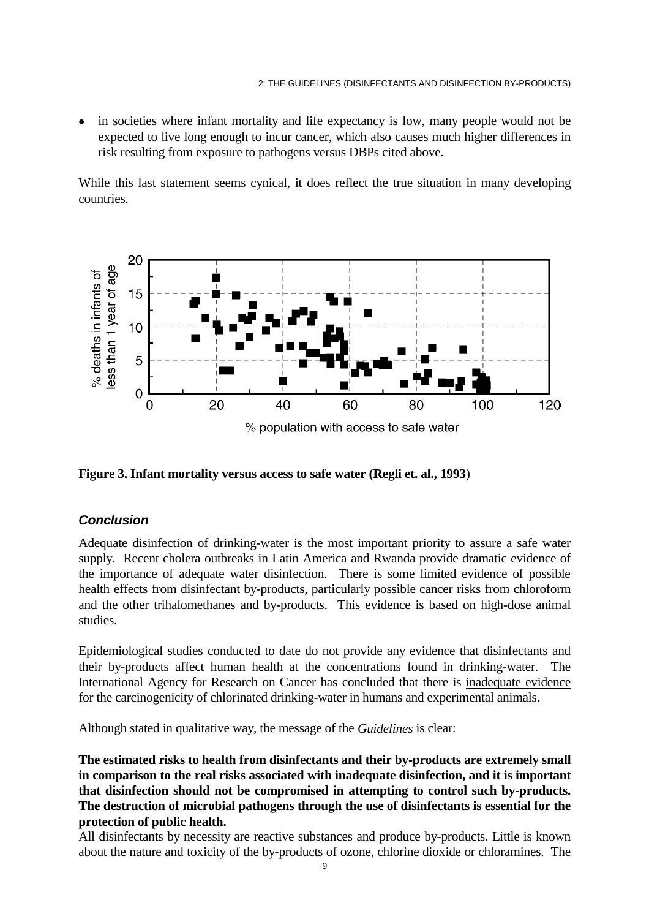in societies where infant mortality and life expectancy is low, many people would not be expected to live long enough to incur cancer, which also causes much higher differences in risk resulting from exposure to pathogens versus DBPs cited above.

While this last statement seems cynical, it does reflect the true situation in many developing countries.



**Figure 3. Infant mortality versus access to safe water (Regli et. al., 1993**)

### **Conclusion**

Adequate disinfection of drinking-water is the most important priority to assure a safe water supply. Recent cholera outbreaks in Latin America and Rwanda provide dramatic evidence of the importance of adequate water disinfection. There is some limited evidence of possible health effects from disinfectant by-products, particularly possible cancer risks from chloroform and the other trihalomethanes and by-products. This evidence is based on high-dose animal studies.

Epidemiological studies conducted to date do not provide any evidence that disinfectants and their by-products affect human health at the concentrations found in drinking-water. The International Agency for Research on Cancer has concluded that there is inadequate evidence for the carcinogenicity of chlorinated drinking-water in humans and experimental animals.

Although stated in qualitative way, the message of the *Guidelines* is clear:

**The estimated risks to health from disinfectants and their by-products are extremely small in comparison to the real risks associated with inadequate disinfection, and it is important that disinfection should not be compromised in attempting to control such by-products. The destruction of microbial pathogens through the use of disinfectants is essential for the protection of public health.** 

All disinfectants by necessity are reactive substances and produce by-products. Little is known about the nature and toxicity of the by-products of ozone, chlorine dioxide or chloramines. The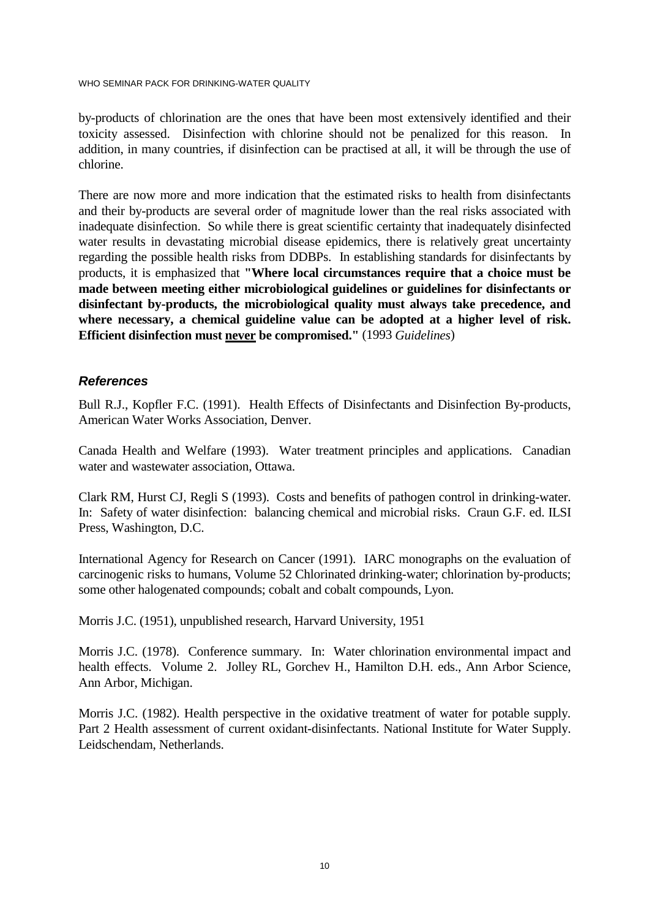WHO SEMINAR PACK FOR DRINKING-WATER QUALITY

by-products of chlorination are the ones that have been most extensively identified and their toxicity assessed. Disinfection with chlorine should not be penalized for this reason. In addition, in many countries, if disinfection can be practised at all, it will be through the use of chlorine.

There are now more and more indication that the estimated risks to health from disinfectants and their by-products are several order of magnitude lower than the real risks associated with inadequate disinfection. So while there is great scientific certainty that inadequately disinfected water results in devastating microbial disease epidemics, there is relatively great uncertainty regarding the possible health risks from DDBPs. In establishing standards for disinfectants by products, it is emphasized that **"Where local circumstances require that a choice must be made between meeting either microbiological guidelines or guidelines for disinfectants or disinfectant by-products, the microbiological quality must always take precedence, and where necessary, a chemical guideline value can be adopted at a higher level of risk. Efficient disinfection must never be compromised."** (1993 *Guidelines*)

### **References**

Bull R.J., Kopfler F.C. (1991). Health Effects of Disinfectants and Disinfection By-products, American Water Works Association, Denver.

Canada Health and Welfare (1993). Water treatment principles and applications. Canadian water and wastewater association, Ottawa.

Clark RM, Hurst CJ, Regli S (1993). Costs and benefits of pathogen control in drinking-water. In: Safety of water disinfection: balancing chemical and microbial risks. Craun G.F. ed. ILSI Press, Washington, D.C.

International Agency for Research on Cancer (1991). IARC monographs on the evaluation of carcinogenic risks to humans, Volume 52 Chlorinated drinking-water; chlorination by-products; some other halogenated compounds; cobalt and cobalt compounds, Lyon.

Morris J.C. (1951), unpublished research, Harvard University, 1951

Morris J.C. (1978). Conference summary. In: Water chlorination environmental impact and health effects. Volume 2. Jolley RL, Gorchev H., Hamilton D.H. eds., Ann Arbor Science, Ann Arbor, Michigan.

Morris J.C. (1982). Health perspective in the oxidative treatment of water for potable supply. Part 2 Health assessment of current oxidant-disinfectants. National Institute for Water Supply. Leidschendam, Netherlands.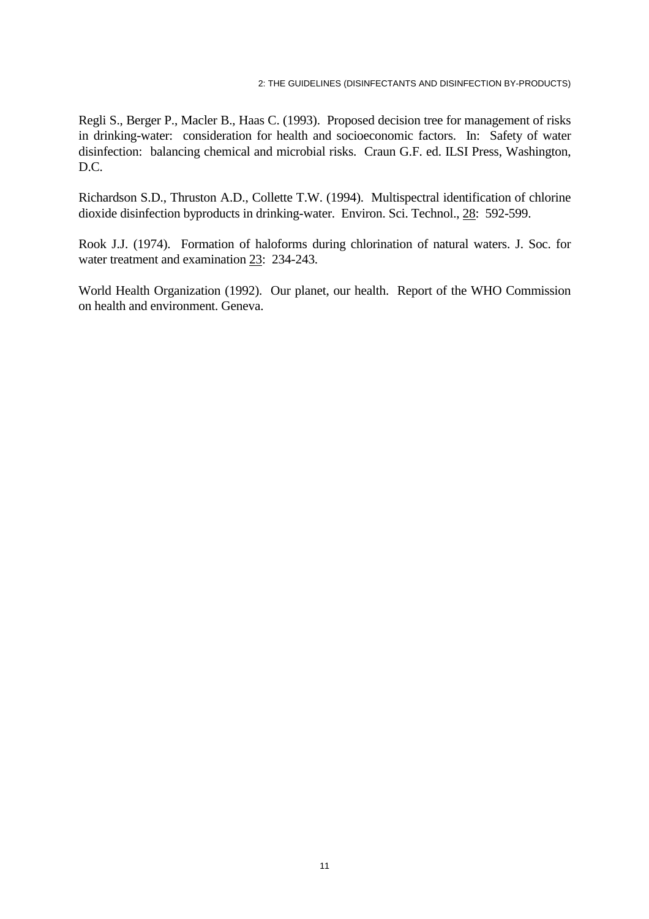Regli S., Berger P., Macler B., Haas C. (1993). Proposed decision tree for management of risks in drinking-water: consideration for health and socioeconomic factors. In: Safety of water disinfection: balancing chemical and microbial risks. Craun G.F. ed. ILSI Press, Washington, D.C.

Richardson S.D., Thruston A.D., Collette T.W. (1994). Multispectral identification of chlorine dioxide disinfection byproducts in drinking-water. Environ. Sci. Technol., 28: 592-599.

Rook J.J. (1974). Formation of haloforms during chlorination of natural waters. J. Soc. for water treatment and examination 23: 234-243.

World Health Organization (1992). Our planet, our health. Report of the WHO Commission on health and environment. Geneva.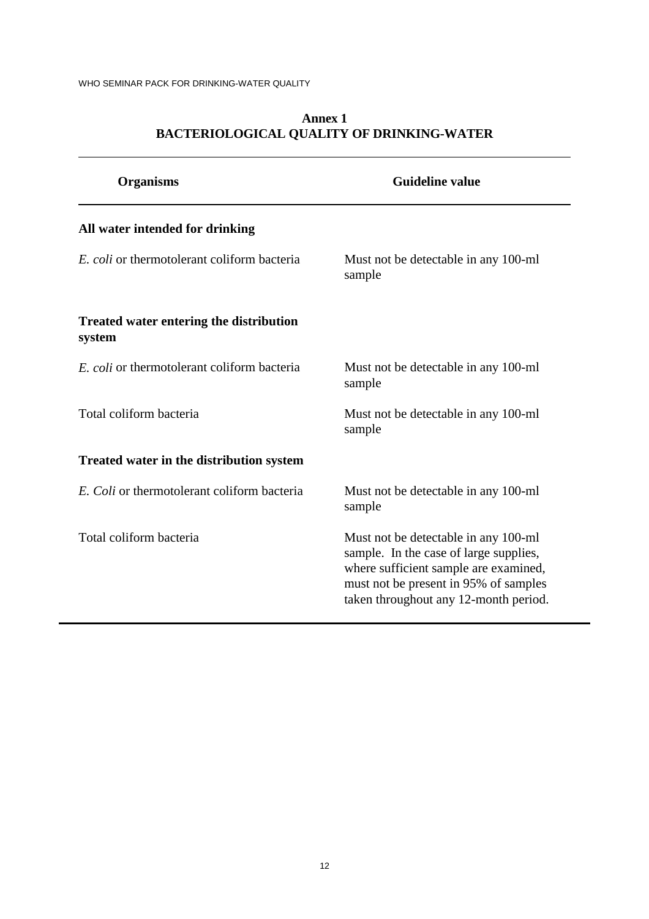| <b>Organisms</b>                                         | <b>Guideline value</b>                                                                                                                                                                                    |
|----------------------------------------------------------|-----------------------------------------------------------------------------------------------------------------------------------------------------------------------------------------------------------|
| All water intended for drinking                          |                                                                                                                                                                                                           |
| E. coli or thermotolerant coliform bacteria              | Must not be detectable in any 100-ml<br>sample                                                                                                                                                            |
| <b>Treated water entering the distribution</b><br>system |                                                                                                                                                                                                           |
| E. coli or thermotolerant coliform bacteria              | Must not be detectable in any 100-ml<br>sample                                                                                                                                                            |
| Total coliform bacteria                                  | Must not be detectable in any 100-ml<br>sample                                                                                                                                                            |
| <b>Treated water in the distribution system</b>          |                                                                                                                                                                                                           |
| E. Coli or thermotolerant coliform bacteria              | Must not be detectable in any 100-ml<br>sample                                                                                                                                                            |
| Total coliform bacteria                                  | Must not be detectable in any 100-ml<br>sample. In the case of large supplies,<br>where sufficient sample are examined,<br>must not be present in 95% of samples<br>taken throughout any 12-month period. |

### **Annex 1 BACTERIOLOGICAL QUALITY OF DRINKING-WATER**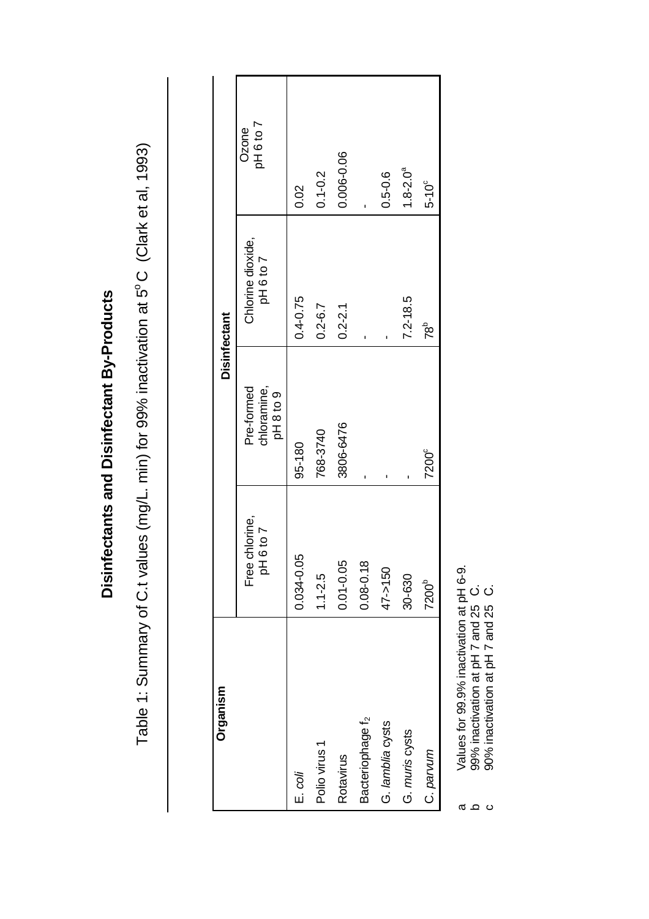| Organism                     |                             |                                       | <b>Disinfectant</b>            |                    |
|------------------------------|-----------------------------|---------------------------------------|--------------------------------|--------------------|
|                              | Free chlorine,<br>pH 6 to 7 | chloramine,<br>Pre-formed<br>pH8 to 9 | Chlorine dioxide,<br>pH 6 to 7 | pH 6 to 7<br>Ozone |
| $E.$ coli                    | 0.034-0.05                  | 95-180                                | $0.4 - 0.75$                   | 0.02               |
| Polio virus 1                | $1.1 - 2.5$                 | 768-3740                              | $0.2 - 6.7$                    | $0.1 - 0.2$        |
| Rotavirus                    | $0.01 - 0.05$               | 3806-6476                             | $0.2 - 2.1$                    | 0.006-0.06         |
| Bacteriophage f <sub>2</sub> | ≌<br>$0.08 - 0.1$           |                                       |                                |                    |
| G. lamblia cysts             | $47 - 150$                  | ı                                     |                                | $0.5 - 0.6$        |
| G. muris cysts               | 30-630                      | ı                                     | $7.2 - 18.5$                   | $1.8 - 2.0a$       |
| C. parvum                    | 7200 <sup>b</sup>           | 7200 <sup>c</sup>                     | $78^{\circ}$                   | $5-10^{\circ}$     |

Disinfectants and Disinfectant By-Products **Disinfectants and Disinfectant By-Products** 

Table 1: Summary of C.t values (mg/L. min) for 99% inactivation at 5°C (Clark et al, 1993) Table 1: Summary of C.t values (mg/L. min) for 99% inactivation at 5°C (Clark et al, 1993)

a Values for 99.9% inactivation at pH 6-9.

Values for 99.9% inactivation at pH 6-9.<br>99% inactivation at pH 7 and 25 C.<br>90% inactivation at pH 7 and 25 C. ო ჲ ʊ

b 99% inactivation at pH 7 and 25 C.

c 90% inactivation at pH 7 and 25  $C$ .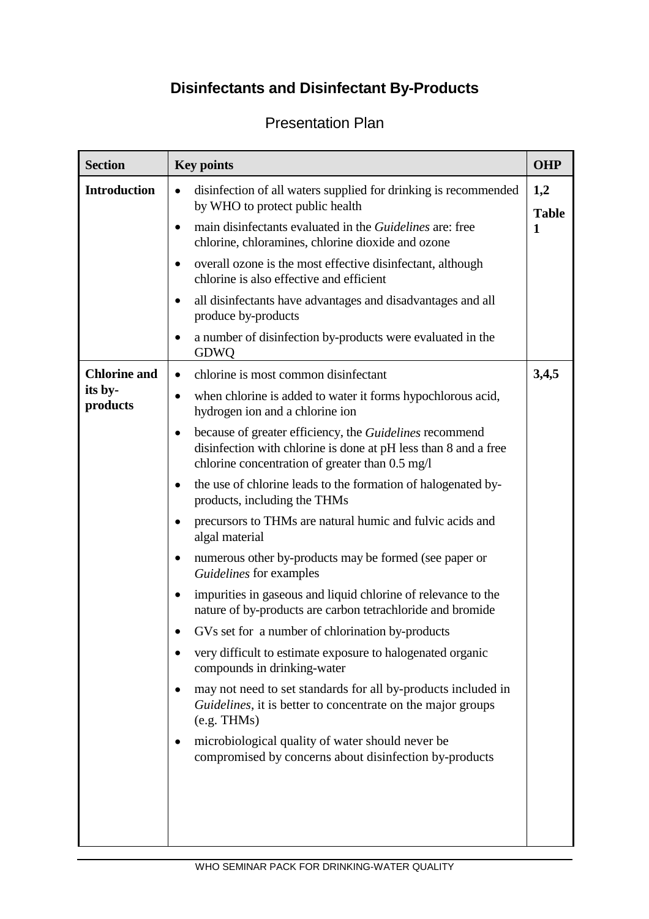## **Disinfectants and Disinfectant By-Products**

## **Section Key points COHP Introduction**  $\bullet$  disinfection of all waters supplied for drinking is recommended by WHO to protect public health • main disinfectants evaluated in the *Guidelines* are: free chlorine, chloramines, chlorine dioxide and ozone • overall ozone is the most effective disinfectant, although chlorine is also effective and efficient • all disinfectants have advantages and disadvantages and all produce by-products • a number of disinfection by-products were evaluated in the GDWQ **1,2 Table 1 Chlorine and its byproducts**  • chlorine is most common disinfectant • when chlorine is added to water it forms hypochlorous acid, hydrogen ion and a chlorine ion • because of greater efficiency, the *Guidelines* recommend disinfection with chlorine is done at pH less than 8 and a free chlorine concentration of greater than 0.5 mg/l • the use of chlorine leads to the formation of halogenated byproducts, including the THMs • precursors to THMs are natural humic and fulvic acids and algal material • numerous other by-products may be formed (see paper or *Guidelines* for examples • impurities in gaseous and liquid chlorine of relevance to the nature of by-products are carbon tetrachloride and bromide • GVs set for a number of chlorination by-products • very difficult to estimate exposure to halogenated organic compounds in drinking-water • may not need to set standards for all by-products included in *Guidelines*, it is better to concentrate on the major groups (e.g. THMs) • microbiological quality of water should never be compromised by concerns about disinfection by-products **3,4,5**

## Presentation Plan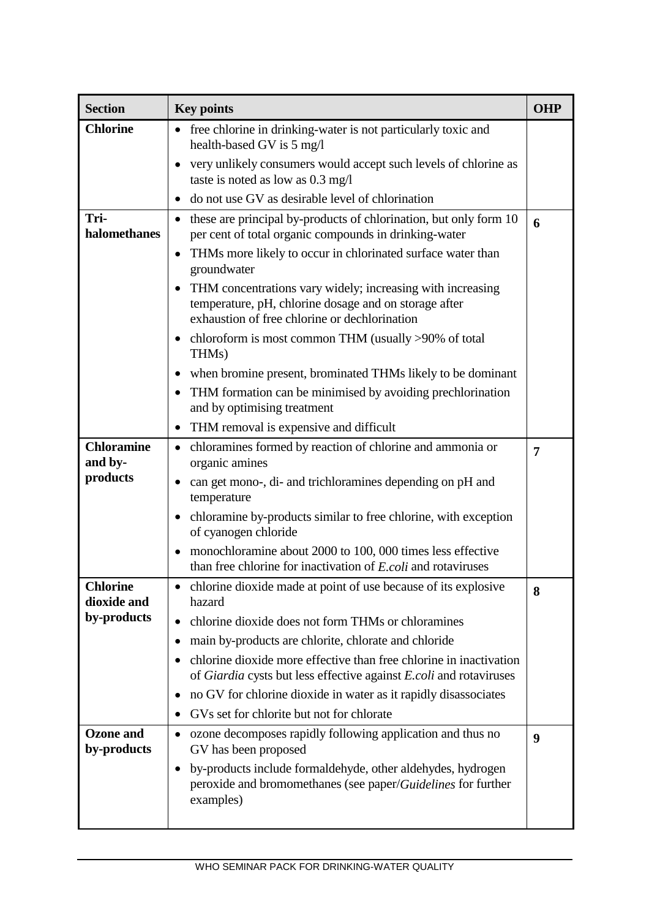| <b>Section</b>                  | <b>Key points</b>                                                                                                                                                    | <b>OHP</b> |
|---------------------------------|----------------------------------------------------------------------------------------------------------------------------------------------------------------------|------------|
| <b>Chlorine</b>                 | • free chlorine in drinking-water is not particularly toxic and<br>health-based GV is 5 mg/l                                                                         |            |
|                                 | very unlikely consumers would accept such levels of chlorine as<br>taste is noted as low as 0.3 mg/l                                                                 |            |
|                                 | do not use GV as desirable level of chlorination                                                                                                                     |            |
| Tri-<br>halomethanes            | these are principal by-products of chlorination, but only form 10<br>$\bullet$<br>per cent of total organic compounds in drinking-water                              | 6          |
|                                 | THMs more likely to occur in chlorinated surface water than<br>groundwater                                                                                           |            |
|                                 | THM concentrations vary widely; increasing with increasing<br>temperature, pH, chlorine dosage and on storage after<br>exhaustion of free chlorine or dechlorination |            |
|                                 | chloroform is most common THM (usually $>90\%$ of total<br>THMs)                                                                                                     |            |
|                                 | when bromine present, brominated THMs likely to be dominant                                                                                                          |            |
|                                 | THM formation can be minimised by avoiding prechlorination<br>$\bullet$<br>and by optimising treatment                                                               |            |
|                                 | THM removal is expensive and difficult                                                                                                                               |            |
| <b>Chloramine</b><br>and by-    | chloramines formed by reaction of chlorine and ammonia or<br>organic amines                                                                                          | 7          |
| products                        | can get mono-, di- and trichloramines depending on pH and<br>temperature                                                                                             |            |
|                                 | chloramine by-products similar to free chlorine, with exception<br>of cyanogen chloride                                                                              |            |
|                                 | monochloramine about 2000 to 100, 000 times less effective<br>than free chlorine for inactivation of E.coli and rotaviruses                                          |            |
| <b>Chlorine</b><br>dioxide and  | chlorine dioxide made at point of use because of its explosive<br>$\bullet$<br>hazard                                                                                | 8          |
| by-products                     | chlorine dioxide does not form THMs or chloramines                                                                                                                   |            |
|                                 | main by-products are chlorite, chlorate and chloride<br>$\bullet$                                                                                                    |            |
|                                 | chlorine dioxide more effective than free chlorine in inactivation<br>of Giardia cysts but less effective against E.coli and rotaviruses                             |            |
|                                 | no GV for chlorine dioxide in water as it rapidly disassociates                                                                                                      |            |
|                                 | GVs set for chlorite but not for chlorate                                                                                                                            |            |
| <b>Ozone</b> and<br>by-products | ozone decomposes rapidly following application and thus no<br>$\bullet$<br>GV has been proposed                                                                      | 9          |
|                                 | by-products include formaldehyde, other aldehydes, hydrogen<br>peroxide and bromomethanes (see paper/Guidelines for further<br>examples)                             |            |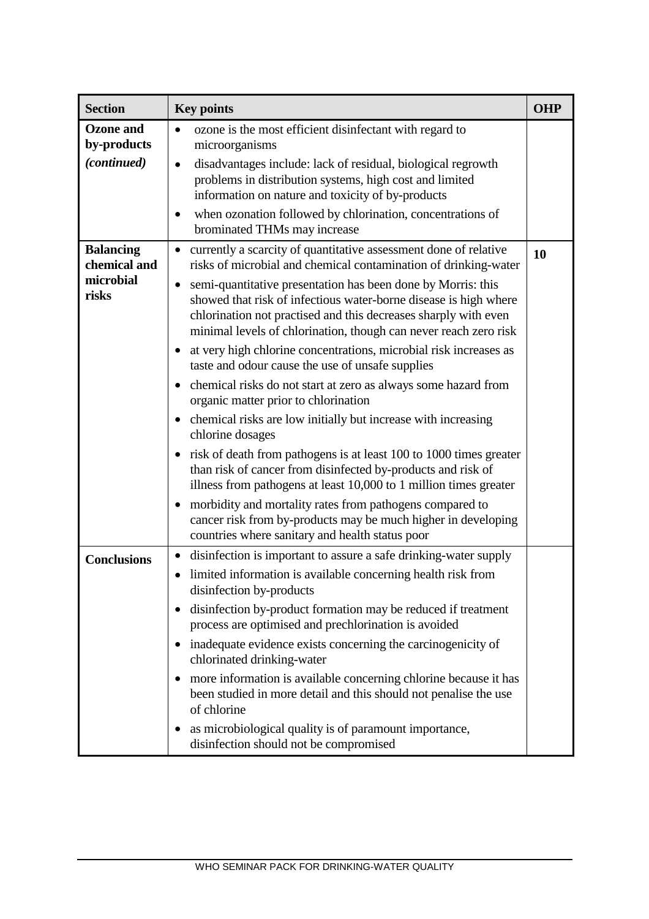| <b>Section</b>                   | <b>Key points</b>                                                                                                                                                                                                                                                       | <b>OHP</b> |
|----------------------------------|-------------------------------------------------------------------------------------------------------------------------------------------------------------------------------------------------------------------------------------------------------------------------|------------|
| <b>Ozone</b> and<br>by-products  | ozone is the most efficient disinfectant with regard to<br>$\bullet$<br>microorganisms                                                                                                                                                                                  |            |
| (continued)                      | disadvantages include: lack of residual, biological regrowth<br>$\bullet$<br>problems in distribution systems, high cost and limited<br>information on nature and toxicity of by-products                                                                               |            |
|                                  | when ozonation followed by chlorination, concentrations of<br>brominated THMs may increase                                                                                                                                                                              |            |
| <b>Balancing</b><br>chemical and | currently a scarcity of quantitative assessment done of relative<br>risks of microbial and chemical contamination of drinking-water                                                                                                                                     | 10         |
| microbial<br>risks               | semi-quantitative presentation has been done by Morris: this<br>showed that risk of infectious water-borne disease is high where<br>chlorination not practised and this decreases sharply with even<br>minimal levels of chlorination, though can never reach zero risk |            |
|                                  | at very high chlorine concentrations, microbial risk increases as<br>taste and odour cause the use of unsafe supplies                                                                                                                                                   |            |
|                                  | chemical risks do not start at zero as always some hazard from<br>organic matter prior to chlorination                                                                                                                                                                  |            |
|                                  | chemical risks are low initially but increase with increasing<br>chlorine dosages                                                                                                                                                                                       |            |
|                                  | risk of death from pathogens is at least 100 to 1000 times greater<br>than risk of cancer from disinfected by-products and risk of<br>illness from pathogens at least 10,000 to 1 million times greater                                                                 |            |
|                                  | morbidity and mortality rates from pathogens compared to<br>cancer risk from by-products may be much higher in developing<br>countries where sanitary and health status poor                                                                                            |            |
| <b>Conclusions</b>               | disinfection is important to assure a safe drinking-water supply<br>$\bullet$                                                                                                                                                                                           |            |
|                                  | limited information is available concerning health risk from<br>$\bullet$<br>disinfection by-products                                                                                                                                                                   |            |
|                                  | disinfection by-product formation may be reduced if treatment<br>process are optimised and prechlorination is avoided                                                                                                                                                   |            |
|                                  | inadequate evidence exists concerning the carcinogenicity of<br>chlorinated drinking-water                                                                                                                                                                              |            |
|                                  | more information is available concerning chlorine because it has<br>$\bullet$<br>been studied in more detail and this should not penalise the use<br>of chlorine                                                                                                        |            |
|                                  | as microbiological quality is of paramount importance,<br>disinfection should not be compromised                                                                                                                                                                        |            |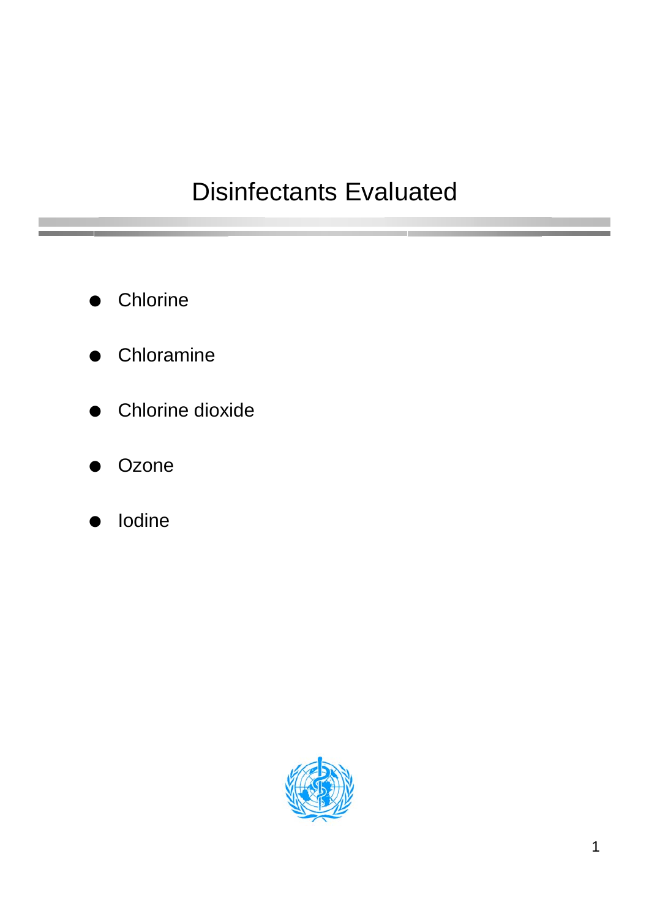## Disinfectants Evaluated

- **Chlorine**
- **Chloramine**
- Chlorine dioxide
- **Ozone**
- **lodine**

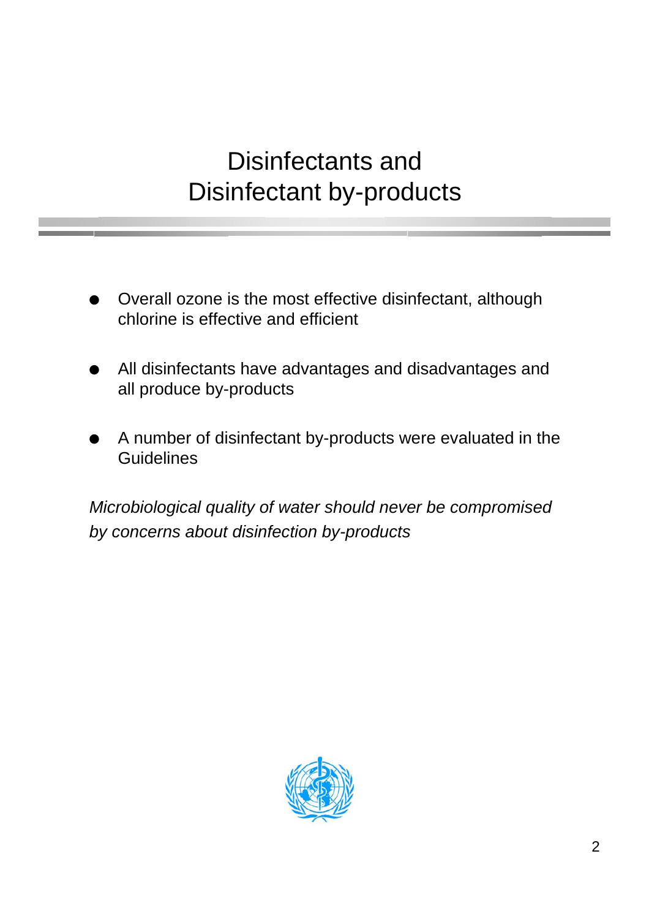## Disinfectants and Disinfectant by-products

- Overall ozone is the most effective disinfectant, although chlorine is effective and efficient
- All disinfectants have advantages and disadvantages and all produce by-products
- A number of disinfectant by-products were evaluated in the **Guidelines**

Microbiological quality of water should never be compromised by concerns about disinfection by-products

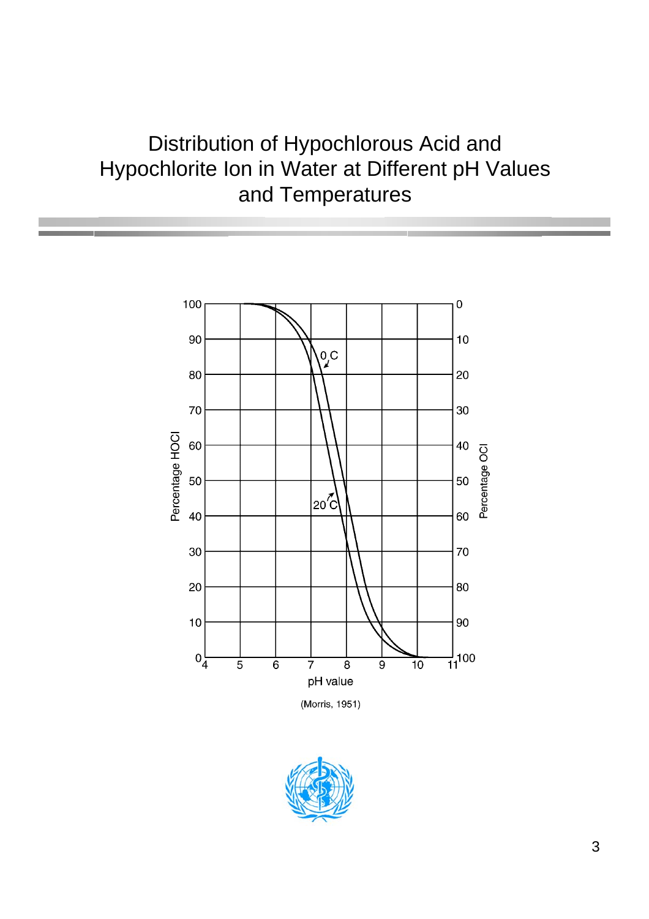## Distribution of Hypochlorous Acid and Hypochlorite Ion in Water at Different pH Values and Temperatures



(Morris, 1951)

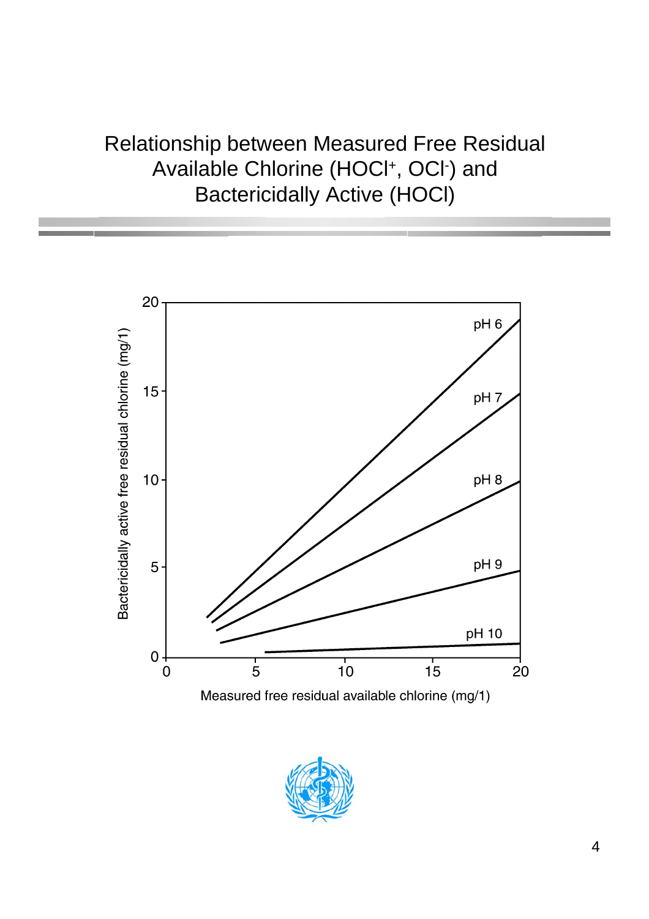## Relationship between Measured Free Residual Available Chlorine (HOCl<sup>+</sup>, OCl<sup>-</sup>) and Bactericidally Active (HOCl)





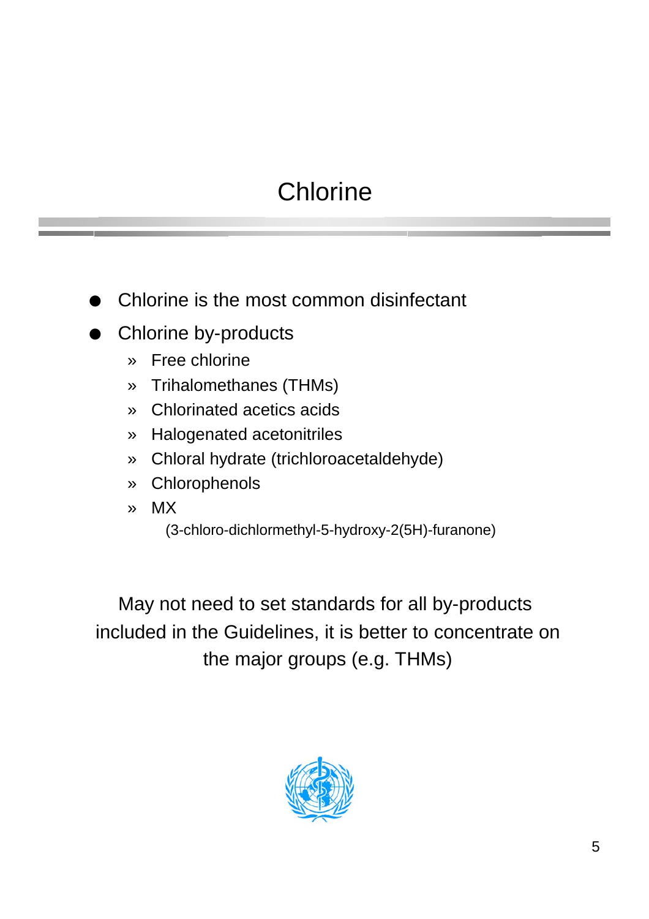# **Chlorine**

- Chlorine is the most common disinfectant
- Chlorine by-products
	- » Free chlorine
	- » Trihalomethanes (THMs)
	- » Chlorinated acetics acids
	- » Halogenated acetonitriles
	- » Chloral hydrate (trichloroacetaldehyde)
	- » Chlorophenols
	- » MX
		- (3-chloro-dichlormethyl-5-hydroxy-2(5H)-furanone)

May not need to set standards for all by-products included in the Guidelines, it is better to concentrate on the major groups (e.g. THMs)

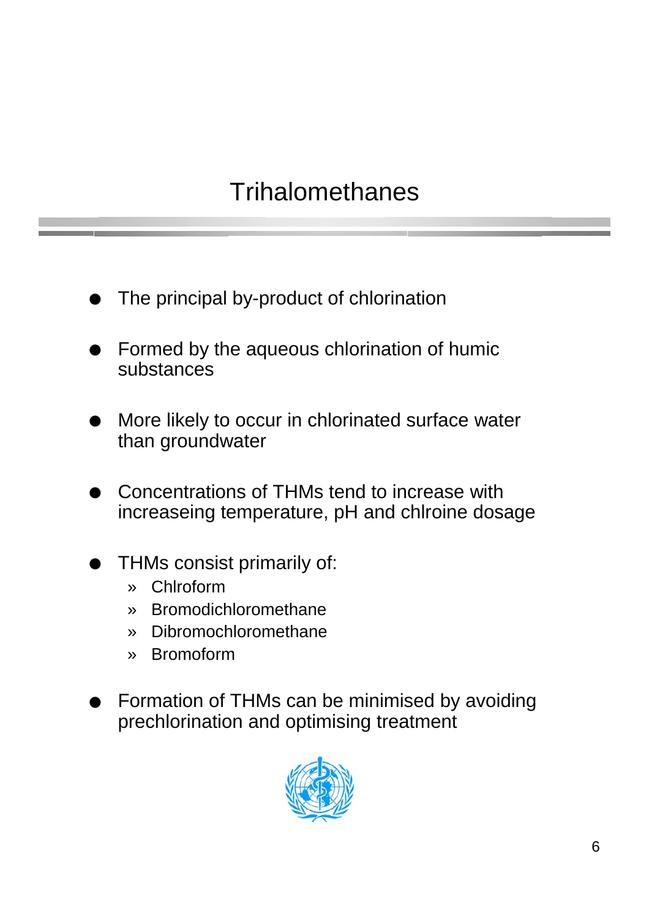## **Trihalomethanes**

- The principal by-product of chlorination
- Formed by the aqueous chlorination of humic substances
- More likely to occur in chlorinated surface water than groundwater
- Concentrations of THMs tend to increase with increaseing temperature, pH and chlroine dosage
- THMs consist primarily of:
	- » Chlroform
	- » Bromodichloromethane
	- » Dibromochloromethane
	- » Bromoform
- Formation of THMs can be minimised by avoiding prechlorination and optimising treatment

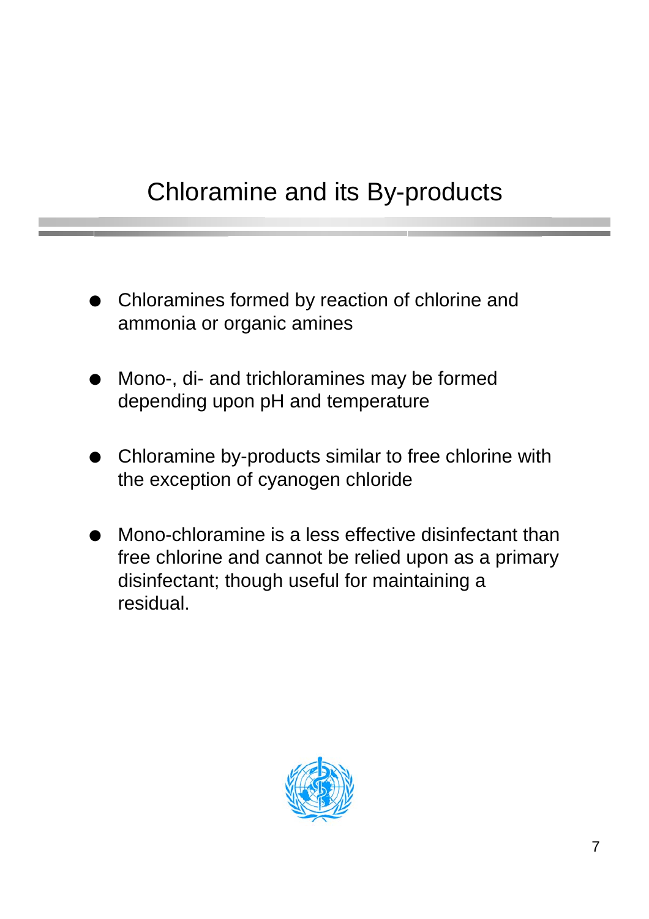# Chloramine and its By-products

- Chloramines formed by reaction of chlorine and ammonia or organic amines
- Mono-, di- and trichloramines may be formed depending upon pH and temperature
- Chloramine by-products similar to free chlorine with the exception of cyanogen chloride
- Mono-chloramine is a less effective disinfectant than free chlorine and cannot be relied upon as a primary disinfectant; though useful for maintaining a residual.

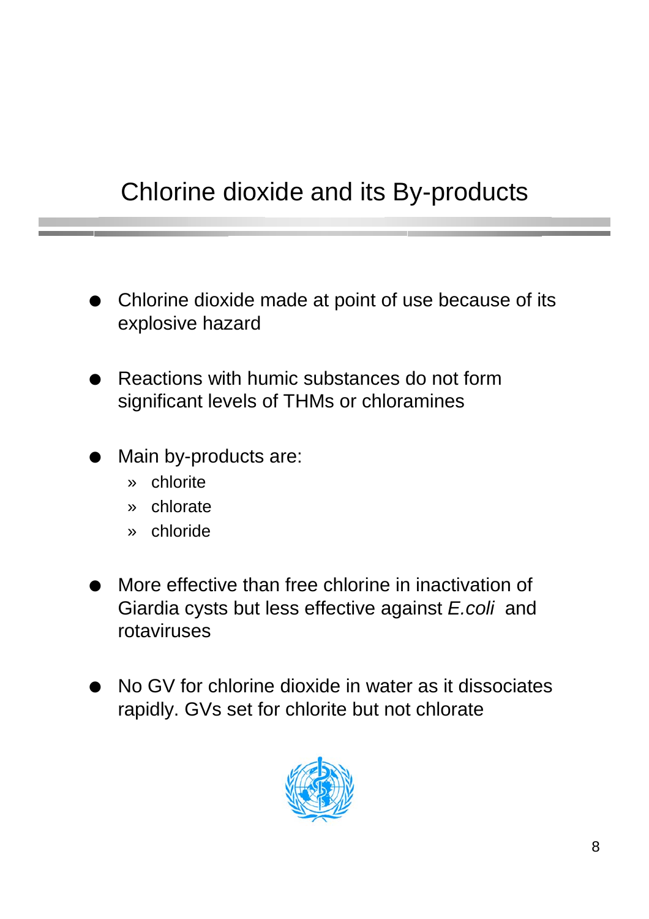# Chlorine dioxide and its By-products

- Chlorine dioxide made at point of use because of its explosive hazard
- Reactions with humic substances do not form significant levels of THMs or chloramines
- Main by-products are:
	- » chlorite
	- » chlorate
	- » chloride
- More effective than free chlorine in inactivation of Giardia cysts but less effective against E.coli and rotaviruses
- No GV for chlorine dioxide in water as it dissociates rapidly. GVs set for chlorite but not chlorate

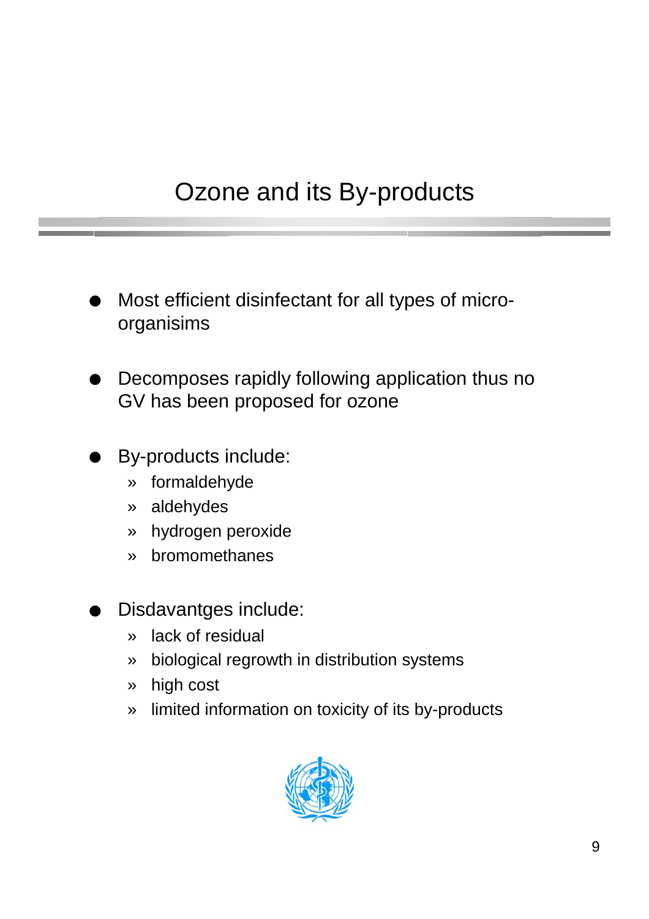## Ozone and its By-products

- Most efficient disinfectant for all types of microorganisims
- Decomposes rapidly following application thus no GV has been proposed for ozone
- By-products include:
	- » formaldehyde
	- » aldehydes
	- » hydrogen peroxide
	- » bromomethanes
- Disdavantges include:
	- » lack of residual
	- » biological regrowth in distribution systems
	- » high cost
	- » limited information on toxicity of its by-products